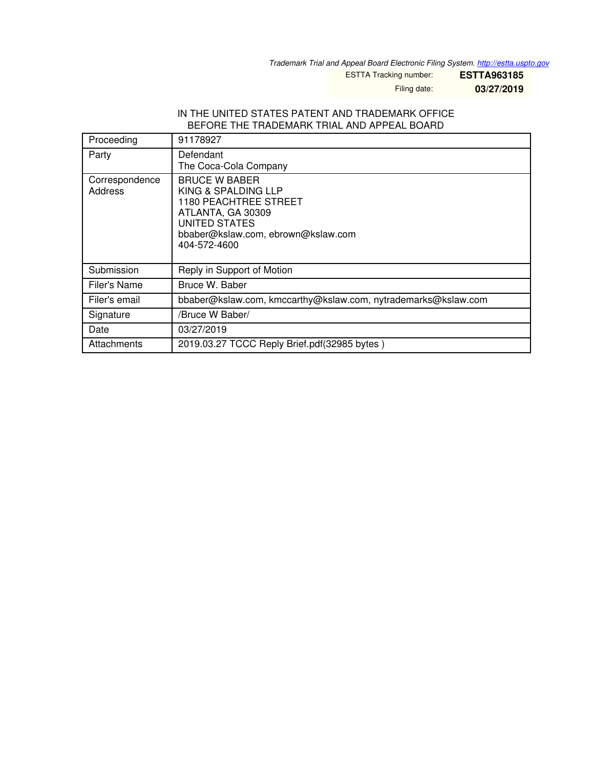*Trademark Trial and Appeal Board Electronic Filing System. <http://estta.uspto.gov>*

ESTTA Tracking number: **ESTTA963185**

Filing date: **03/27/2019**

#### IN THE UNITED STATES PATENT AND TRADEMARK OFFICE BEFORE THE TRADEMARK TRIAL AND APPEAL BOARD

| Proceeding                | 91178927                                                                                                                                                                       |
|---------------------------|--------------------------------------------------------------------------------------------------------------------------------------------------------------------------------|
| Party                     | Defendant<br>The Coca-Cola Company                                                                                                                                             |
| Correspondence<br>Address | <b>BRUCE W BABER</b><br>KING & SPALDING LLP<br><b>1180 PEACHTREE STREET</b><br>ATLANTA, GA 30309<br><b>UNITED STATES</b><br>bbaber@kslaw.com, ebrown@kslaw.com<br>404-572-4600 |
| Submission                | Reply in Support of Motion                                                                                                                                                     |
| Filer's Name              | Bruce W. Baber                                                                                                                                                                 |
| Filer's email             | bbaber@kslaw.com, kmccarthy@kslaw.com, nytrademarks@kslaw.com                                                                                                                  |
| Signature                 | /Bruce W Baber/                                                                                                                                                                |
| Date                      | 03/27/2019                                                                                                                                                                     |
| Attachments               | 2019.03.27 TCCC Reply Brief.pdf(32985 bytes)                                                                                                                                   |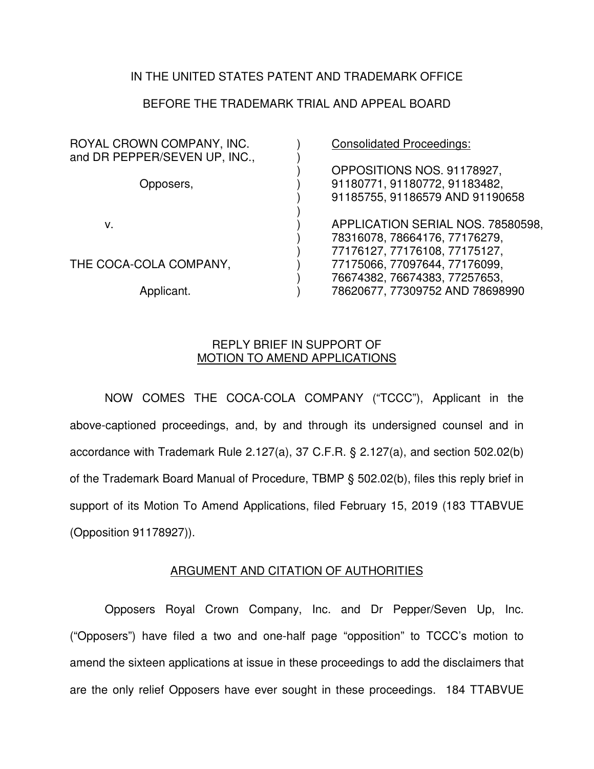## IN THE UNITED STATES PATENT AND TRADEMARK OFFICE

## BEFORE THE TRADEMARK TRIAL AND APPEAL BOARD

| ROYAL CROWN COMPANY, INC.<br>and DR PEPPER/SEVEN UP, INC., | <b>Consolidated Proceedings:</b>                                                               |
|------------------------------------------------------------|------------------------------------------------------------------------------------------------|
| Opposers,                                                  | OPPOSITIONS NOS. 91178927,<br>91180771, 91180772, 91183482,<br>91185755, 91186579 AND 91190658 |
| v.                                                         | APPLICATION SERIAL NOS. 78580598,<br>78316078, 78664176, 77176279,                             |
| THE COCA-COLA COMPANY,                                     | 77176127, 77176108, 77175127,<br>77175066, 77097644, 77176099,                                 |
| Applicant.                                                 | 76674382, 76674383, 77257653,<br>78620677, 77309752 AND 78698990                               |

### REPLY BRIEF IN SUPPORT OF MOTION TO AMEND APPLICATIONS

NOW COMES THE COCA-COLA COMPANY ("TCCC"), Applicant in the above-captioned proceedings, and, by and through its undersigned counsel and in accordance with Trademark Rule 2.127(a), 37 C.F.R. § 2.127(a), and section 502.02(b) of the Trademark Board Manual of Procedure, TBMP § 502.02(b), files this reply brief in support of its Motion To Amend Applications, filed February 15, 2019 (183 TTABVUE (Opposition 91178927)).

### ARGUMENT AND CITATION OF AUTHORITIES

Opposers Royal Crown Company, Inc. and Dr Pepper/Seven Up, Inc. ("Opposers") have filed a two and one-half page "opposition" to TCCC's motion to amend the sixteen applications at issue in these proceedings to add the disclaimers that are the only relief Opposers have ever sought in these proceedings. 184 TTABVUE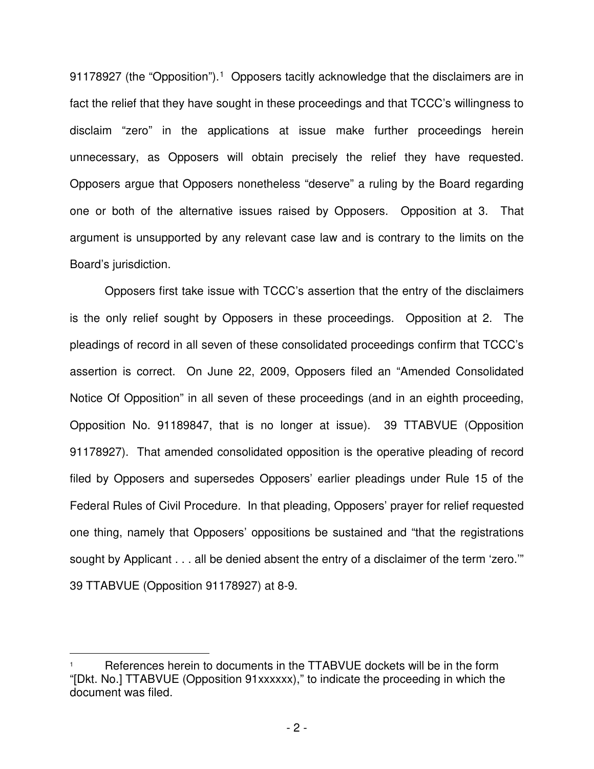9[1](#page-2-0)178927 (the "Opposition").<sup>1</sup> Opposers tacitly acknowledge that the disclaimers are in fact the relief that they have sought in these proceedings and that TCCC's willingness to disclaim "zero" in the applications at issue make further proceedings herein unnecessary, as Opposers will obtain precisely the relief they have requested. Opposers argue that Opposers nonetheless "deserve" a ruling by the Board regarding one or both of the alternative issues raised by Opposers. Opposition at 3. That argument is unsupported by any relevant case law and is contrary to the limits on the Board's jurisdiction.

Opposers first take issue with TCCC's assertion that the entry of the disclaimers is the only relief sought by Opposers in these proceedings. Opposition at 2. The pleadings of record in all seven of these consolidated proceedings confirm that TCCC's assertion is correct. On June 22, 2009, Opposers filed an "Amended Consolidated Notice Of Opposition" in all seven of these proceedings (and in an eighth proceeding, Opposition No. 91189847, that is no longer at issue). 39 TTABVUE (Opposition 91178927). That amended consolidated opposition is the operative pleading of record filed by Opposers and supersedes Opposers' earlier pleadings under Rule 15 of the Federal Rules of Civil Procedure. In that pleading, Opposers' prayer for relief requested one thing, namely that Opposers' oppositions be sustained and "that the registrations sought by Applicant . . . all be denied absent the entry of a disclaimer of the term 'zero." 39 TTABVUE (Opposition 91178927) at 8-9.

 $\overline{a}$ 

<span id="page-2-0"></span><sup>1</sup> References herein to documents in the TTABVUE dockets will be in the form "[Dkt. No.] TTABVUE (Opposition 91xxxxxx)," to indicate the proceeding in which the document was filed.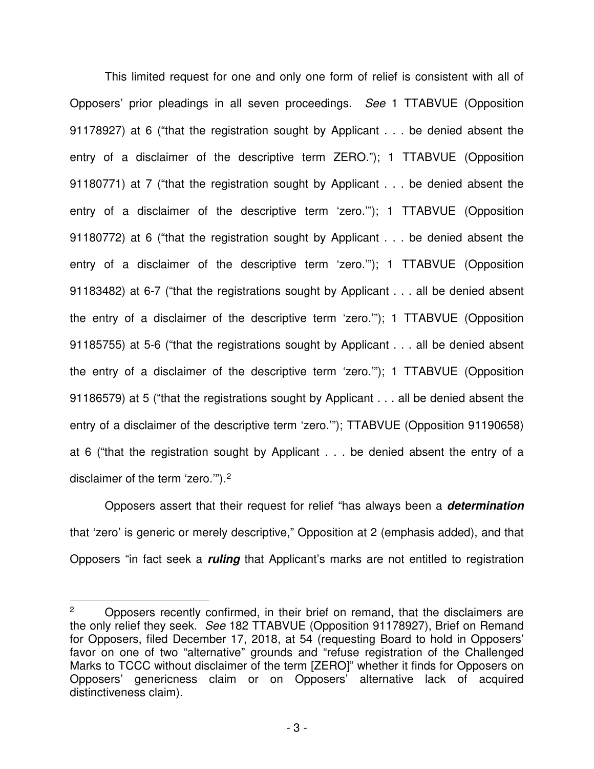This limited request for one and only one form of relief is consistent with all of Opposers' prior pleadings in all seven proceedings. *See* 1 TTABVUE (Opposition 91178927) at 6 ("that the registration sought by Applicant . . . be denied absent the entry of a disclaimer of the descriptive term ZERO."); 1 TTABVUE (Opposition 91180771) at 7 ("that the registration sought by Applicant . . . be denied absent the entry of a disclaimer of the descriptive term 'zero.'"); 1 TTABVUE (Opposition 91180772) at 6 ("that the registration sought by Applicant . . . be denied absent the entry of a disclaimer of the descriptive term 'zero.'"); 1 TTABVUE (Opposition 91183482) at 6-7 ("that the registrations sought by Applicant . . . all be denied absent the entry of a disclaimer of the descriptive term 'zero.'"); 1 TTABVUE (Opposition 91185755) at 5-6 ("that the registrations sought by Applicant . . . all be denied absent the entry of a disclaimer of the descriptive term 'zero.'"); 1 TTABVUE (Opposition 91186579) at 5 ("that the registrations sought by Applicant . . . all be denied absent the entry of a disclaimer of the descriptive term 'zero.'"); TTABVUE (Opposition 91190658) at 6 ("that the registration sought by Applicant . . . be denied absent the entry of a disclaimer of the term 'zero.'").[2](#page-3-0)

Opposers assert that their request for relief "has always been a **determination** that 'zero' is generic or merely descriptive," Opposition at 2 (emphasis added), and that Opposers "in fact seek a **ruling** that Applicant's marks are not entitled to registration

 $\overline{a}$ 

<span id="page-3-0"></span><sup>2</sup> Opposers recently confirmed, in their brief on remand, that the disclaimers are the only relief they seek. *See* 182 TTABVUE (Opposition 91178927), Brief on Remand for Opposers, filed December 17, 2018, at 54 (requesting Board to hold in Opposers' favor on one of two "alternative" grounds and "refuse registration of the Challenged Marks to TCCC without disclaimer of the term [ZERO]" whether it finds for Opposers on Opposers' genericness claim or on Opposers' alternative lack of acquired distinctiveness claim).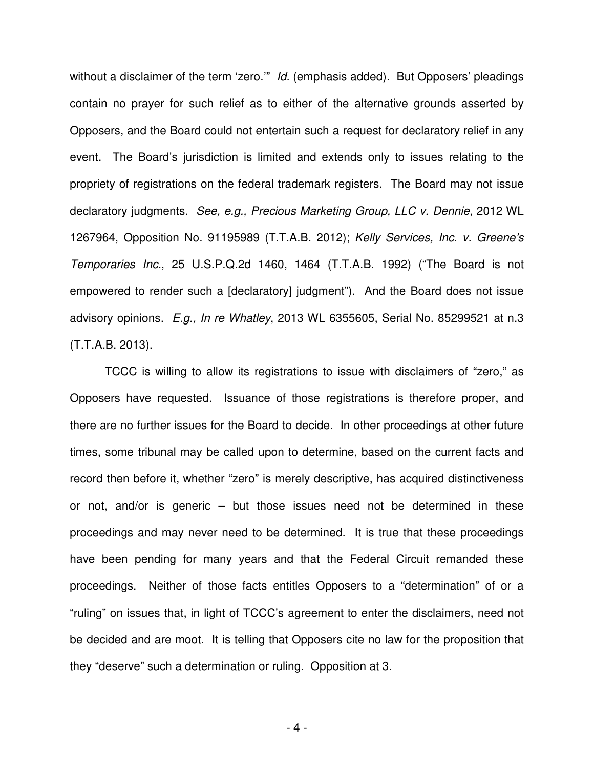without a disclaimer of the term 'zero.'" *Id*. (emphasis added). But Opposers' pleadings contain no prayer for such relief as to either of the alternative grounds asserted by Opposers, and the Board could not entertain such a request for declaratory relief in any event. The Board's jurisdiction is limited and extends only to issues relating to the propriety of registrations on the federal trademark registers. The Board may not issue declaratory judgments. *See, e.g., Precious Marketing Group, LLC v. Dennie*, 2012 WL 1267964, Opposition No. 91195989 (T.T.A.B. 2012); *Kelly Services, Inc. v. Greene's Temporaries Inc.*, 25 U.S.P.Q.2d 1460, 1464 (T.T.A.B. 1992) ("The Board is not empowered to render such a [declaratory] judgment"). And the Board does not issue advisory opinions. *E.g., In re Whatley*, 2013 WL 6355605, Serial No. 85299521 at n.3 (T.T.A.B. 2013).

TCCC is willing to allow its registrations to issue with disclaimers of "zero," as Opposers have requested. Issuance of those registrations is therefore proper, and there are no further issues for the Board to decide. In other proceedings at other future times, some tribunal may be called upon to determine, based on the current facts and record then before it, whether "zero" is merely descriptive, has acquired distinctiveness or not, and/or is generic – but those issues need not be determined in these proceedings and may never need to be determined. It is true that these proceedings have been pending for many years and that the Federal Circuit remanded these proceedings. Neither of those facts entitles Opposers to a "determination" of or a "ruling" on issues that, in light of TCCC's agreement to enter the disclaimers, need not be decided and are moot. It is telling that Opposers cite no law for the proposition that they "deserve" such a determination or ruling. Opposition at 3.

- 4 -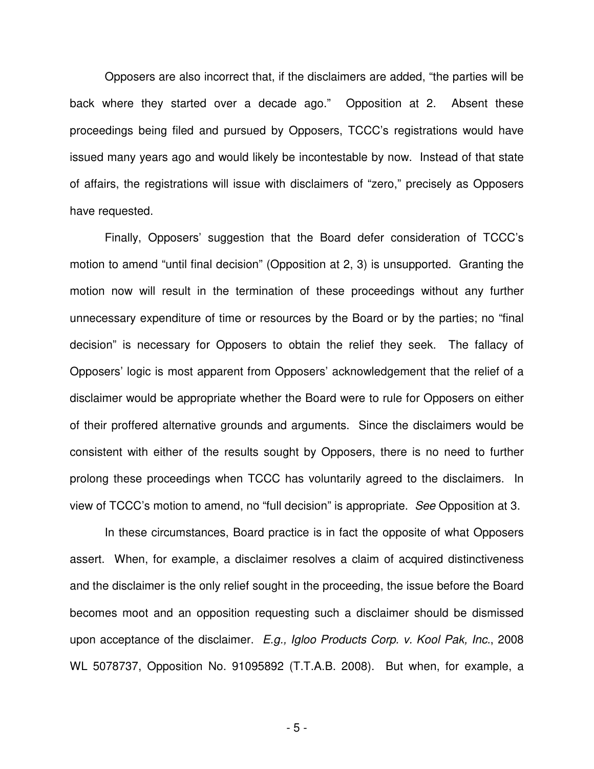Opposers are also incorrect that, if the disclaimers are added, "the parties will be back where they started over a decade ago." Opposition at 2. Absent these proceedings being filed and pursued by Opposers, TCCC's registrations would have issued many years ago and would likely be incontestable by now. Instead of that state of affairs, the registrations will issue with disclaimers of "zero," precisely as Opposers have requested.

Finally, Opposers' suggestion that the Board defer consideration of TCCC's motion to amend "until final decision" (Opposition at 2, 3) is unsupported. Granting the motion now will result in the termination of these proceedings without any further unnecessary expenditure of time or resources by the Board or by the parties; no "final decision" is necessary for Opposers to obtain the relief they seek. The fallacy of Opposers' logic is most apparent from Opposers' acknowledgement that the relief of a disclaimer would be appropriate whether the Board were to rule for Opposers on either of their proffered alternative grounds and arguments. Since the disclaimers would be consistent with either of the results sought by Opposers, there is no need to further prolong these proceedings when TCCC has voluntarily agreed to the disclaimers. In view of TCCC's motion to amend, no "full decision" is appropriate. *See* Opposition at 3.

In these circumstances, Board practice is in fact the opposite of what Opposers assert. When, for example, a disclaimer resolves a claim of acquired distinctiveness and the disclaimer is the only relief sought in the proceeding, the issue before the Board becomes moot and an opposition requesting such a disclaimer should be dismissed upon acceptance of the disclaimer. *E.g., Igloo Products Corp. v. Kool Pak, Inc.*, 2008 WL 5078737, Opposition No. 91095892 (T.T.A.B. 2008). But when, for example, a

- 5 -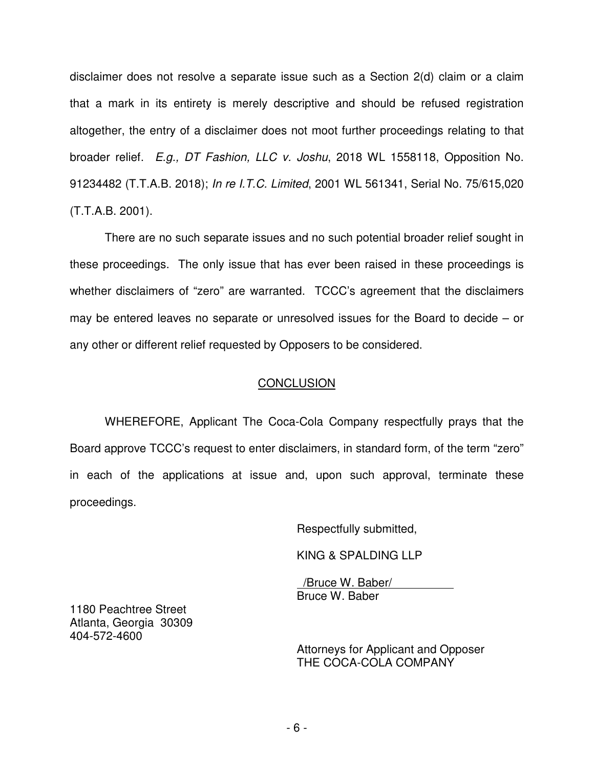disclaimer does not resolve a separate issue such as a Section 2(d) claim or a claim that a mark in its entirety is merely descriptive and should be refused registration altogether, the entry of a disclaimer does not moot further proceedings relating to that broader relief. *E.g., DT Fashion, LLC v. Joshu*, 2018 WL 1558118, Opposition No. 91234482 (T.T.A.B. 2018); *In re I.T.C. Limited*, 2001 WL 561341, Serial No. 75/615,020 (T.T.A.B. 2001).

There are no such separate issues and no such potential broader relief sought in these proceedings. The only issue that has ever been raised in these proceedings is whether disclaimers of "zero" are warranted. TCCC's agreement that the disclaimers may be entered leaves no separate or unresolved issues for the Board to decide – or any other or different relief requested by Opposers to be considered.

# **CONCLUSION**

WHEREFORE, Applicant The Coca-Cola Company respectfully prays that the Board approve TCCC's request to enter disclaimers, in standard form, of the term "zero" in each of the applications at issue and, upon such approval, terminate these proceedings.

Respectfully submitted,

KING & SPALDING LLP

 /Bruce W. Baber/ Bruce W. Baber

1180 Peachtree Street Atlanta, Georgia 30309 404-572-4600

> Attorneys for Applicant and Opposer THE COCA-COLA COMPANY